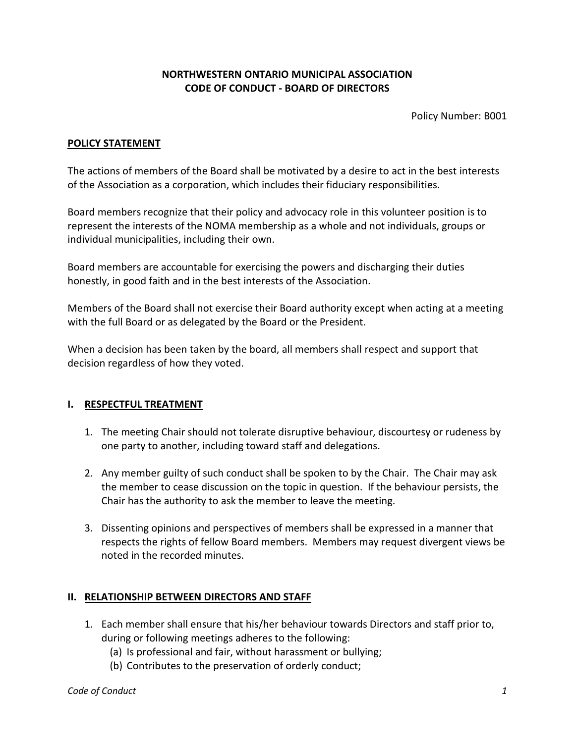# **NORTHWESTERN ONTARIO MUNICIPAL ASSOCIATION CODE OF CONDUCT - BOARD OF DIRECTORS**

Policy Number: B001

### **POLICY STATEMENT**

The actions of members of the Board shall be motivated by a desire to act in the best interests of the Association as a corporation, which includes their fiduciary responsibilities.

Board members recognize that their policy and advocacy role in this volunteer position is to represent the interests of the NOMA membership as a whole and not individuals, groups or individual municipalities, including their own.

Board members are accountable for exercising the powers and discharging their duties honestly, in good faith and in the best interests of the Association.

Members of the Board shall not exercise their Board authority except when acting at a meeting with the full Board or as delegated by the Board or the President.

When a decision has been taken by the board, all members shall respect and support that decision regardless of how they voted.

#### **I. RESPECTFUL TREATMENT**

- 1. The meeting Chair should not tolerate disruptive behaviour, discourtesy or rudeness by one party to another, including toward staff and delegations.
- 2. Any member guilty of such conduct shall be spoken to by the Chair. The Chair may ask the member to cease discussion on the topic in question. If the behaviour persists, the Chair has the authority to ask the member to leave the meeting.
- 3. Dissenting opinions and perspectives of members shall be expressed in a manner that respects the rights of fellow Board members. Members may request divergent views be noted in the recorded minutes.

#### **II. RELATIONSHIP BETWEEN DIRECTORS AND STAFF**

- 1. Each member shall ensure that his/her behaviour towards Directors and staff prior to, during or following meetings adheres to the following:
	- (a) Is professional and fair, without harassment or bullying;
	- (b) Contributes to the preservation of orderly conduct;